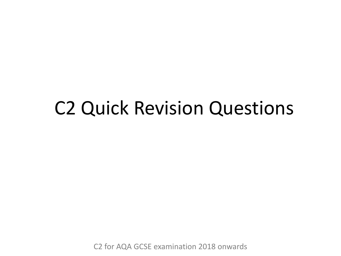## C2 Quick Revision Questions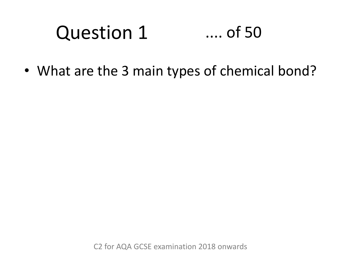## Question 1 .... of 50

• What are the 3 main types of chemical bond?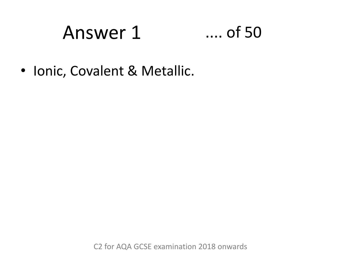## Answer 1 .... of 50

• Ionic, Covalent & Metallic.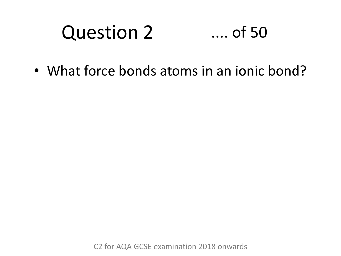# Question 2 .... of 50

• What force bonds atoms in an ionic bond?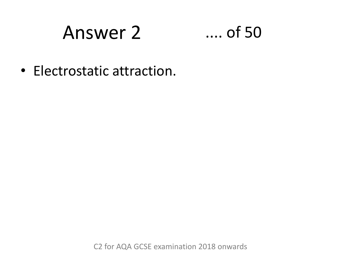## Answer 2 .... of 50

• Electrostatic attraction.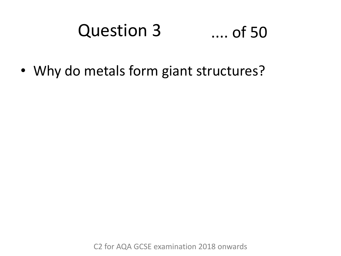### Question 3 .... of 50

• Why do metals form giant structures?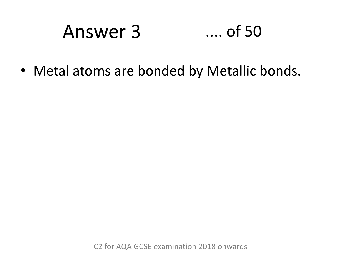## Answer 3 .... of 50

• Metal atoms are bonded by Metallic bonds.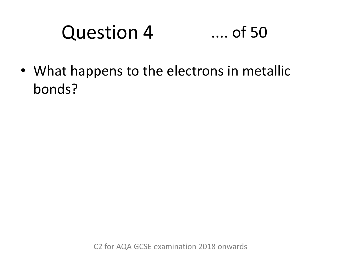## Question 4 .... of 50

• What happens to the electrons in metallic bonds?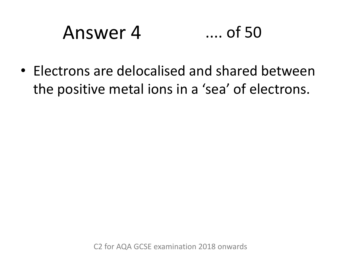## Answer 4 .... of 50

• Electrons are delocalised and shared between the positive metal ions in a 'sea' of electrons.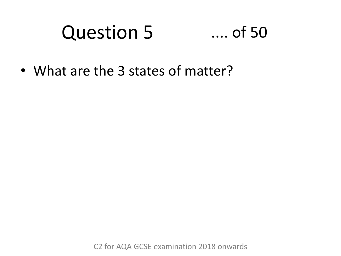## Question 5 .... of 50

• What are the 3 states of matter?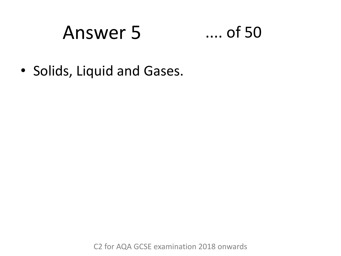## Answer 5 .... of 50

• Solids, Liquid and Gases.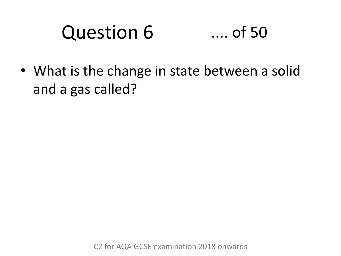# Question 6 .... of 50

• What is the change in state between a solid and a gas called?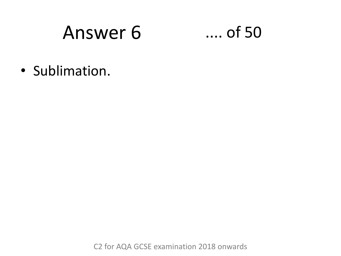$\dots$  of 50

· Sublimation.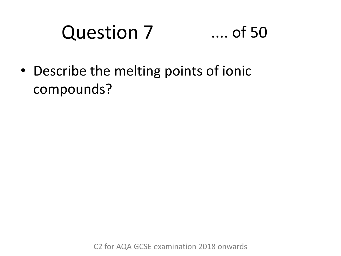## Question 7 .... of 50

• Describe the melting points of ionic compounds?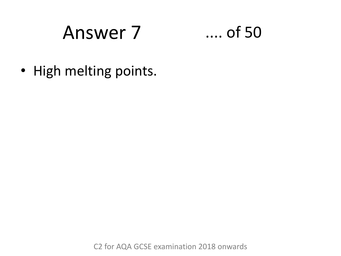

• High melting points.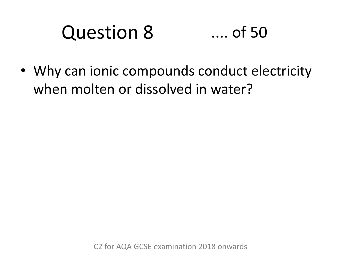# Question 8 .... of 50

• Why can ionic compounds conduct electricity when molten or dissolved in water?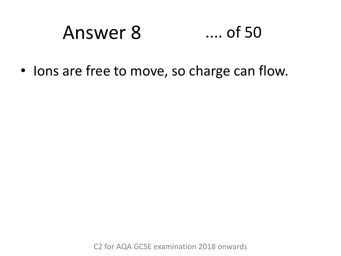## Answer 8 .... of 50

• Ions are free to move, so charge can flow.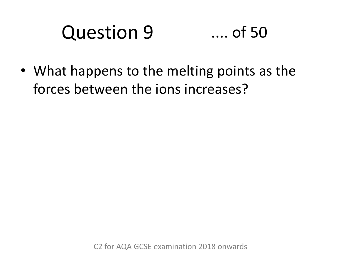# Question 9 .... of 50

• What happens to the melting points as the forces between the ions increases?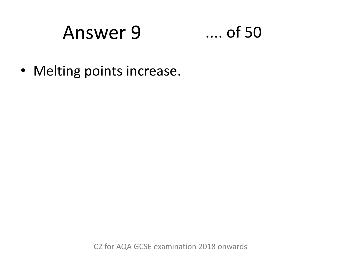## $\dots$  of 50

• Melting points increase.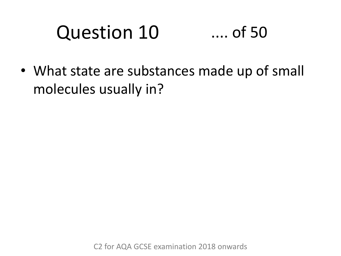# Question 10 .... of 50

• What state are substances made up of small molecules usually in?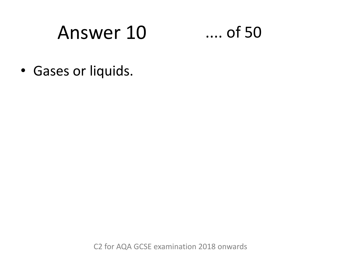$\dots$  of 50

• Gases or liquids.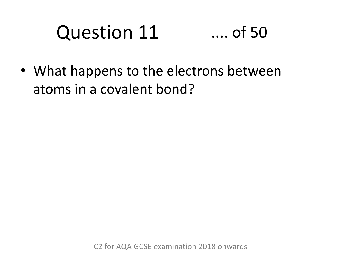# Question 11 .... of 50

• What happens to the electrons between atoms in a covalent bond?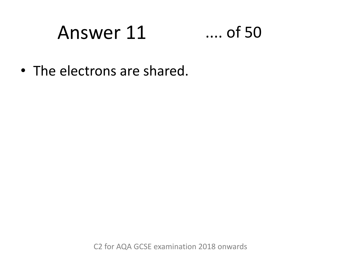### Answer 11  $\ldots$  of 50

• The electrons are shared.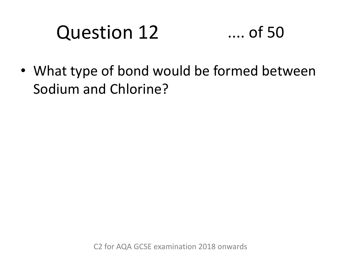## Question 12 .... of 50

• What type of bond would be formed between Sodium and Chlorine?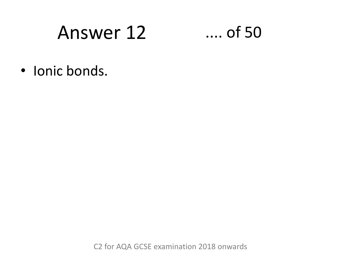## $...$  of 50

· Ionic bonds.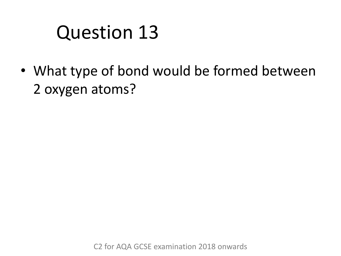## Question 13

• What type of bond would be formed between 2 oxygen atoms?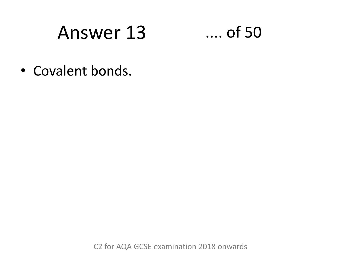

• Covalent bonds.

C<sub>2</sub> for AQA GCSE examination 2018 onwards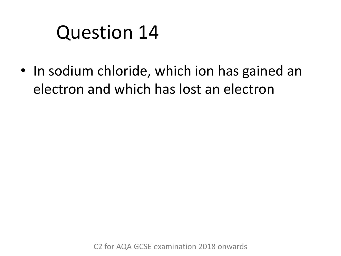## Question 14

• In sodium chloride, which ion has gained an electron and which has lost an electron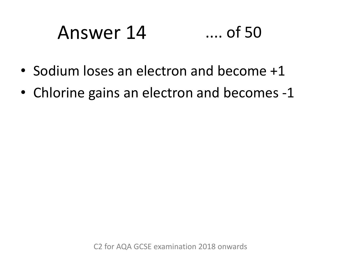## Answer 14 .... of 50

- Sodium loses an electron and become +1
- Chlorine gains an electron and becomes -1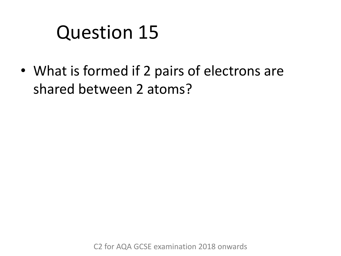## Question 15

• What is formed if 2 pairs of electrons are shared between 2 atoms?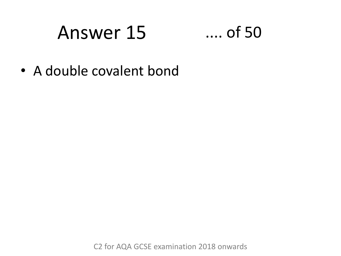## $\dots$  of 50

• A double covalent bond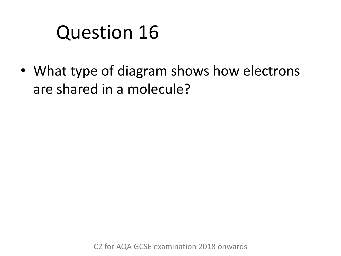## Question 16

• What type of diagram shows how electrons are shared in a molecule?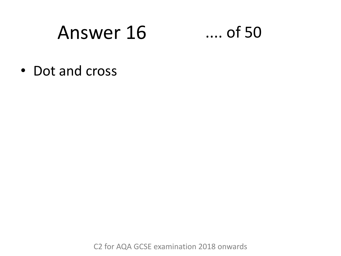$\ldots$  of 50

• Dot and cross

C<sub>2</sub> for AQA GCSE examination 2018 onwards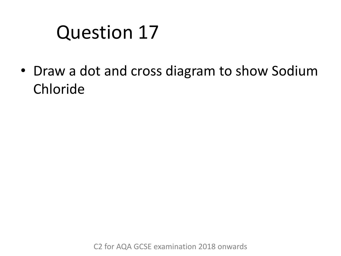## Question 17

• Draw a dot and cross diagram to show Sodium Chloride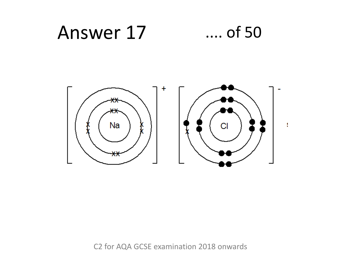### Answer 17  $\dots$  of 50

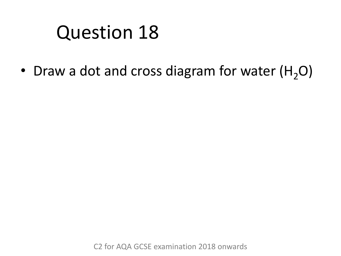## Question 18

• Draw a dot and cross diagram for water  $(H<sub>2</sub>O)$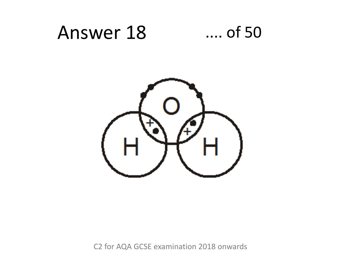#### Answer 18  $\dots$  of 50

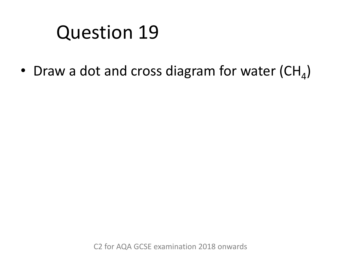• Draw a dot and cross diagram for water  $(\text{CH}_4)$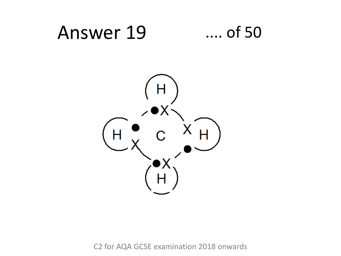#### Answer 19  $\dots$  of 50

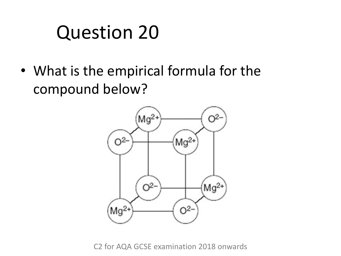• What is the empirical formula for the compound below?

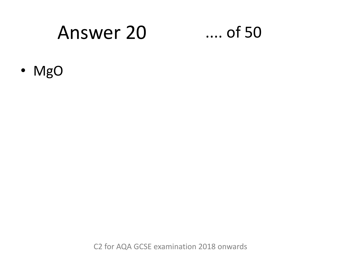#### **Answer 20**

#### $\dots$  of 50

· MgO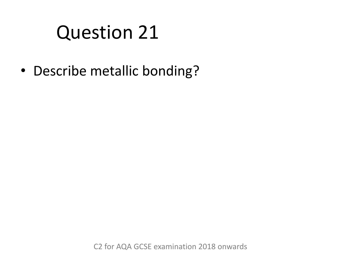• Describe metallic bonding?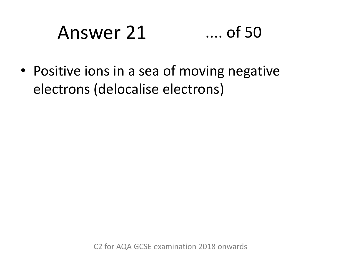# Answer 21 .... of 50

• Positive ions in a sea of moving negative electrons (delocalise electrons)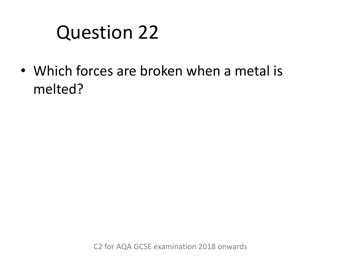• Which forces are broken when a metal is melted?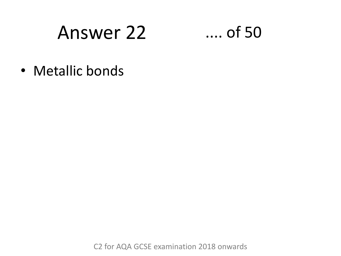#### Answer 22

#### $\dots$  of 50

• Metallic bonds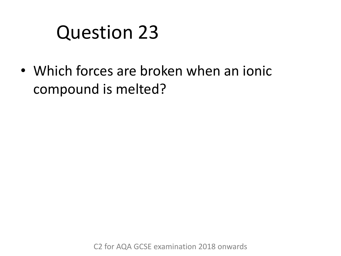• Which forces are broken when an ionic compound is melted?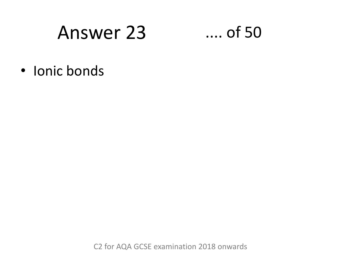#### Answer 23

#### $\dots$  of 50

· Ionic bonds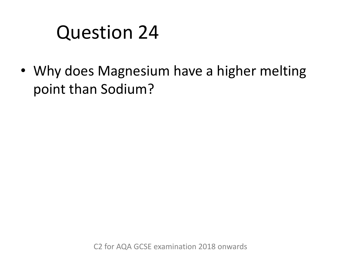• Why does Magnesium have a higher melting point than Sodium?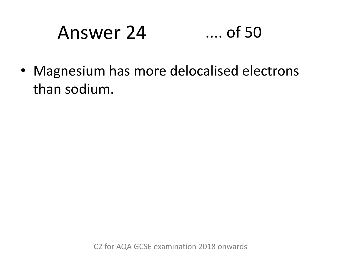# Answer 24 .... of 50

• Magnesium has more delocalised electrons than sodium.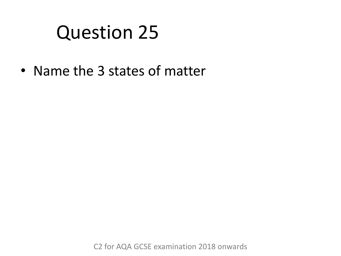• Name the 3 states of matter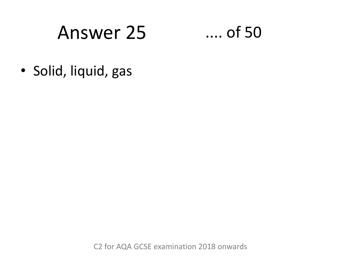#### **Answer 25**

 $...$  of 50

· Solid, liquid, gas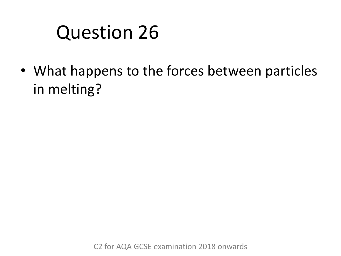• What happens to the forces between particles in melting?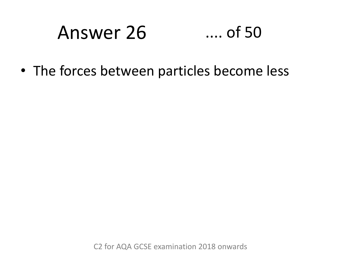#### Answer 26  $...$  of 50

• The forces between particles become less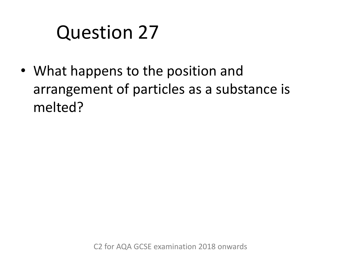• What happens to the position and arrangement of particles as a substance is melted?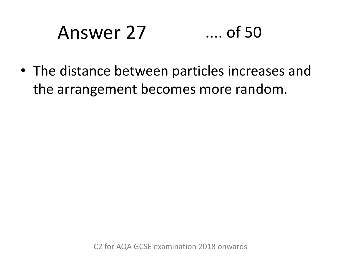# Answer 27 .... of 50

• The distance between particles increases and the arrangement becomes more random.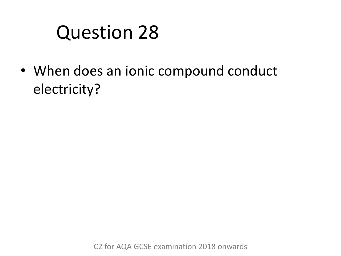• When does an ionic compound conduct electricity?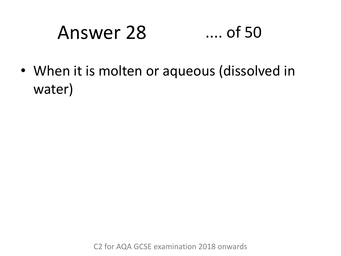# Answer 28 .... of 50

• When it is molten or aqueous (dissolved in water)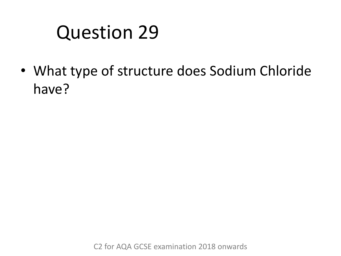• What type of structure does Sodium Chloride have?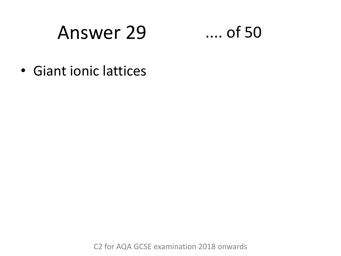#### Answer 29

#### $\dots$  of 50

• Giant ionic lattices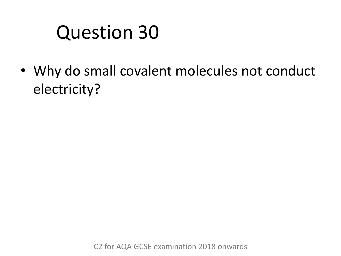• Why do small covalent molecules not conduct electricity?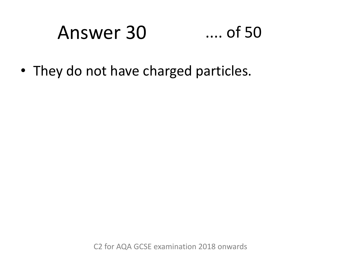## Answer 30 .... of 50

• They do not have charged particles.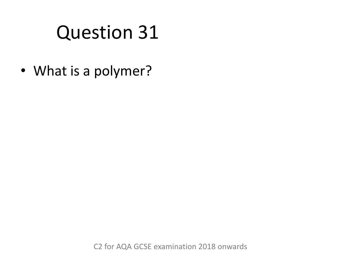• What is a polymer?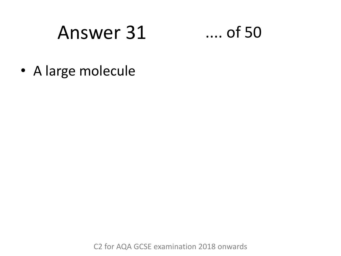#### Answer 31 .... of 50



• A large molecule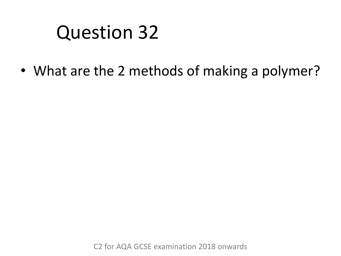• What are the 2 methods of making a polymer?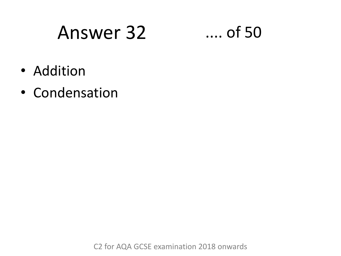#### Answer 32 .... of 50

- Addition
- Condensation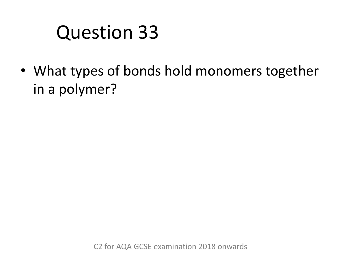• What types of bonds hold monomers together in a polymer?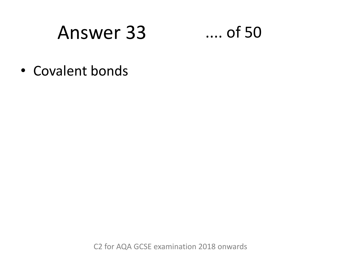#### **Answer 33**

 $\dots$  of 50

• Covalent bonds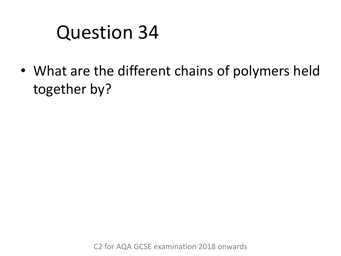• What are the different chains of polymers held together by?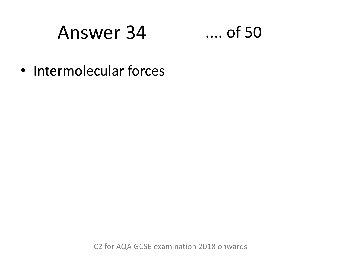#### **Answer 34**

#### $\dots$  of 50

• Intermolecular forces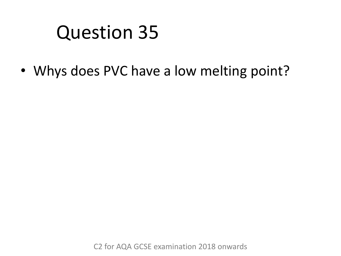• Whys does PVC have a low melting point?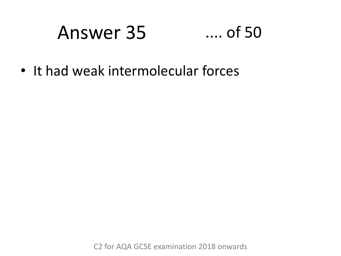### Answer 35 .... of 50

• It had weak intermolecular forces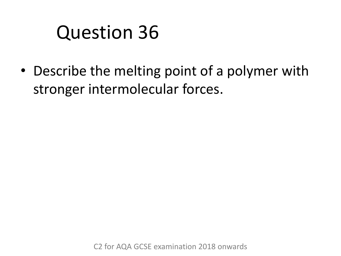• Describe the melting point of a polymer with stronger intermolecular forces.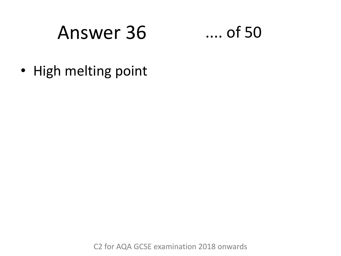## Answer 36 .... of 50



• High melting point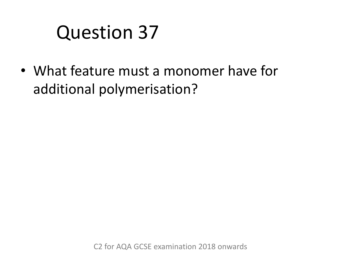• What feature must a monomer have for additional polymerisation?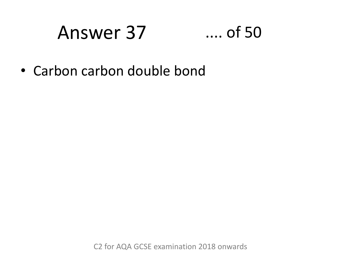### Answer 37 .... of 50

• Carbon carbon double bond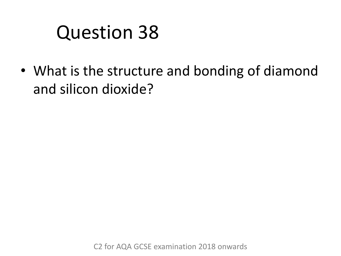• What is the structure and bonding of diamond and silicon dioxide?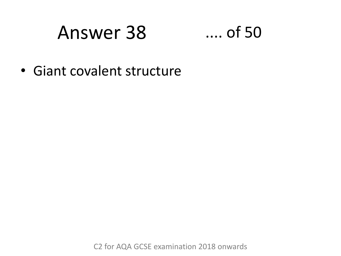### Answer 38 .... of 50

• Giant covalent structure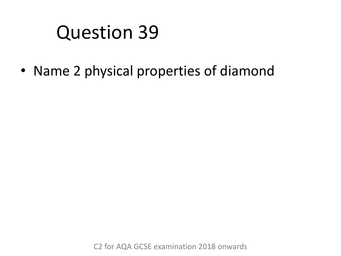• Name 2 physical properties of diamond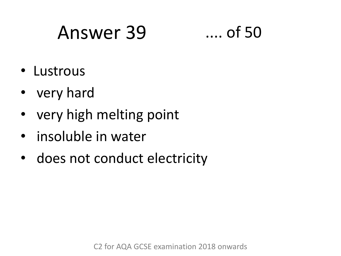## Answer 39 .... of 50

- Lustrous
- very hard
- very high melting point
- insoluble in water
- does not conduct electricity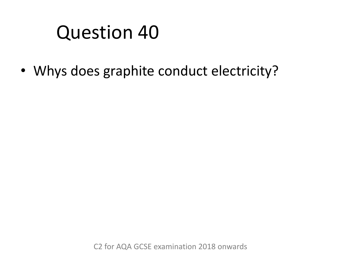• Whys does graphite conduct electricity?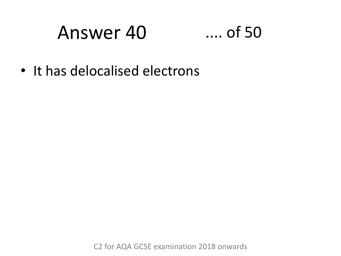### Answer 40 .... of 50

• It has delocalised electrons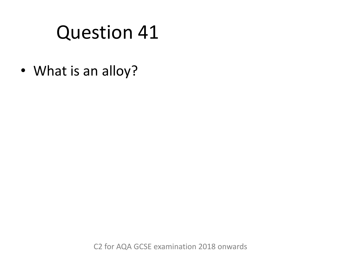• What is an alloy?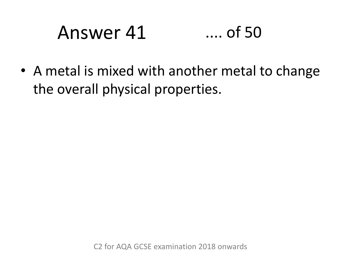# Answer 41 .... of 50

• A metal is mixed with another metal to change the overall physical properties.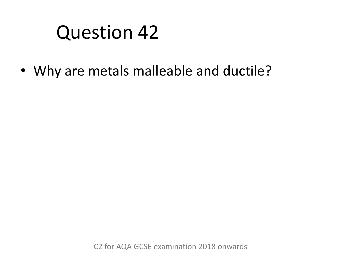• Why are metals malleable and ductile?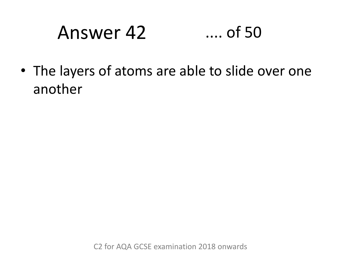# Answer 42 .... of 50

• The layers of atoms are able to slide over one another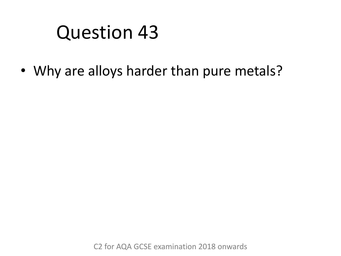• Why are alloys harder than pure metals?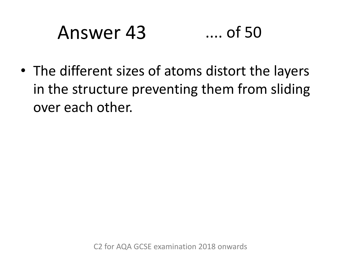## Answer 43 .... of 50

• The different sizes of atoms distort the layers in the structure preventing them from sliding over each other.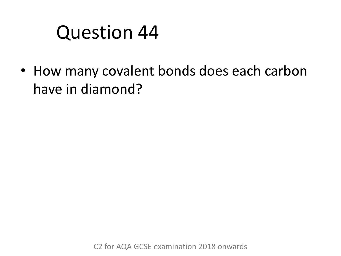• How many covalent bonds does each carbon have in diamond?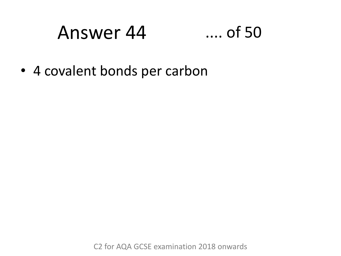#### Answer 44 .... of 50

• 4 covalent bonds per carbon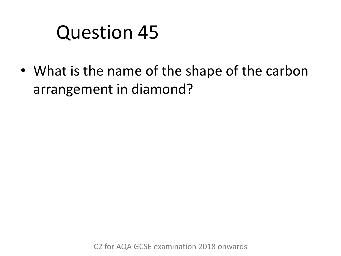• What is the name of the shape of the carbon arrangement in diamond?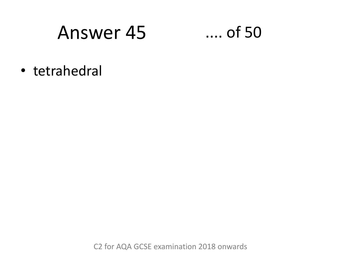### Answer 45 .... of 50

• tetrahedral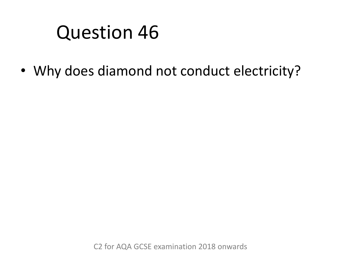• Why does diamond not conduct electricity?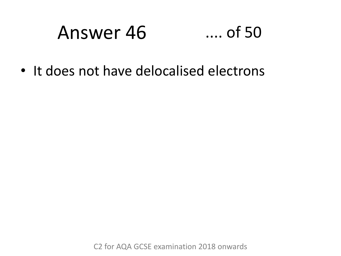# Answer 46 .... of 50

• It does not have delocalised electrons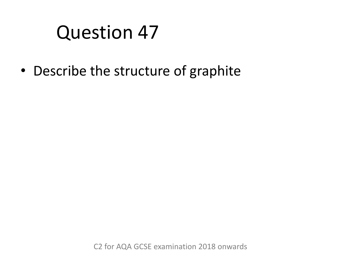• Describe the structure of graphite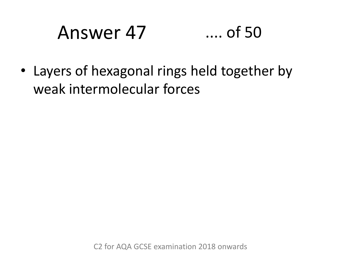# Answer 47 .... of 50

• Layers of hexagonal rings held together by weak intermolecular forces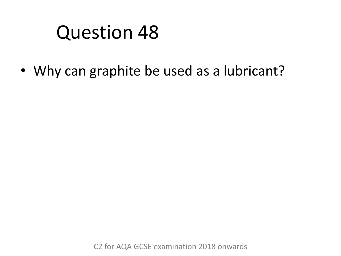• Why can graphite be used as a lubricant?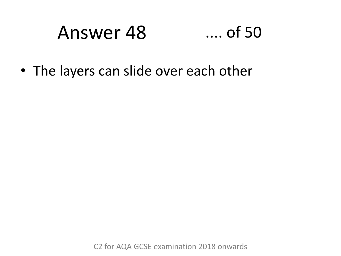# Answer 48 .... of 50

• The layers can slide over each other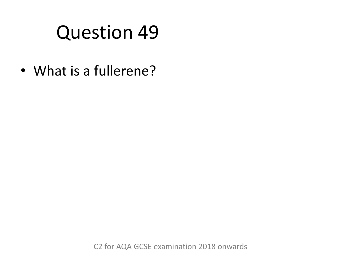• What is a fullerene?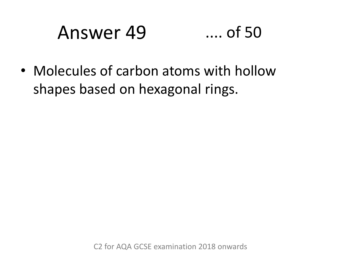# Answer 49 .... of 50

• Molecules of carbon atoms with hollow shapes based on hexagonal rings.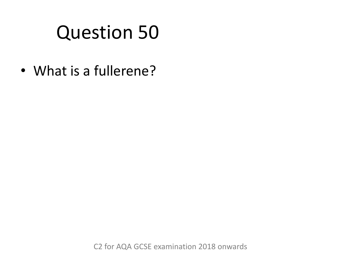• What is a fullerene?